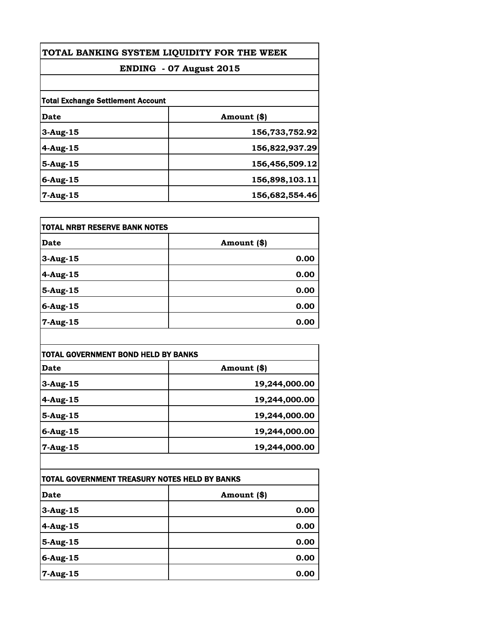| TOTAL BANKING SYSTEM LIQUIDITY FOR THE WEEK<br>ENDING - 07 August 2015 |                |
|------------------------------------------------------------------------|----------------|
|                                                                        |                |
| <b>Total Exchange Settlement Account</b>                               |                |
| <b>Date</b>                                                            | Amount (\$)    |
| $3$ -Aug-15                                                            | 156,733,752.92 |
| $4-Aug-15$                                                             | 156,822,937.29 |
| $5-Aug-15$                                                             | 156,456,509.12 |
| $6$ -Aug-15                                                            | 156,898,103.11 |
| 7-Aug-15                                                               | 156,682,554.46 |

| <b>TOTAL NRBT RESERVE BANK NOTES</b> |             |
|--------------------------------------|-------------|
| <b>Date</b>                          | Amount (\$) |
| $3$ -Aug-15                          | 0.00        |
| $4-Aug-15$                           | 0.00        |
| 5-Aug-15                             | 0.00        |
| $6$ -Aug-15                          | 0.00        |
| 7-Aug-15                             | 0.00        |

| <b>TOTAL GOVERNMENT BOND HELD BY BANKS</b> |               |
|--------------------------------------------|---------------|
| Date                                       | Amount (\$)   |
| $3$ -Aug-15                                | 19,244,000.00 |
| $4-Au$ g-15                                | 19,244,000.00 |
| $5-Aug-15$                                 | 19,244,000.00 |
| $6$ -Aug-15                                | 19,244,000.00 |
| 7-Aug-15                                   | 19,244,000.00 |

| TOTAL GOVERNMENT TREASURY NOTES HELD BY BANKS |             |
|-----------------------------------------------|-------------|
| <b>Date</b>                                   | Amount (\$) |
| $3$ -Aug-15                                   | 0.00        |
| $4$ -Aug-15                                   | 0.00        |
| 5-Aug-15                                      | 0.00        |
| $6$ -Aug-15                                   | 0.00        |
| 7-Aug-15                                      | 0.00        |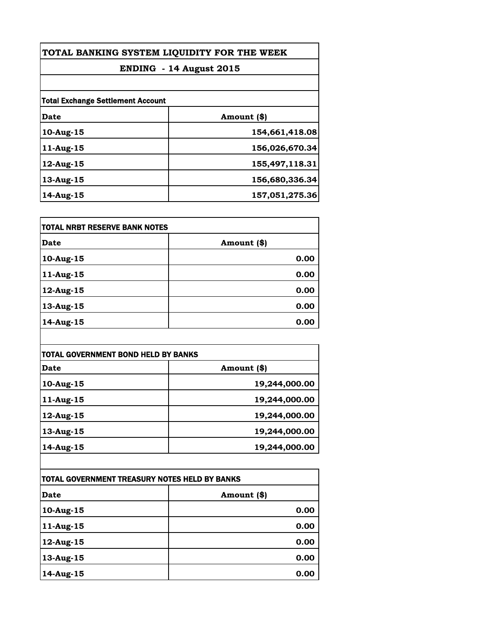| TOTAL BANKING SYSTEM LIQUIDITY FOR THE WEEK<br>ENDING - 14 August 2015 |                |
|------------------------------------------------------------------------|----------------|
|                                                                        |                |
| <b>Total Exchange Settlement Account</b>                               |                |
| Date                                                                   | Amount (\$)    |
| 10-Aug-15                                                              | 154,661,418.08 |
| $11$ -Aug-15                                                           | 156,026,670.34 |
| 12-Aug-15                                                              | 155,497,118.31 |
| 13-Aug-15                                                              | 156,680,336.34 |
| 14-Aug-15                                                              | 157,051,275.36 |

| <b>TOTAL NRBT RESERVE BANK NOTES</b> |             |
|--------------------------------------|-------------|
| Date                                 | Amount (\$) |
| 10-Aug-15                            | 0.00        |
| 11-Aug-15                            | 0.00        |
| $12$ -Aug-15                         | 0.00        |
| 13-Aug-15                            | 0.00        |
| $14$ -Aug-15                         | 0.00        |

| Amount (\$)<br>Date |               |
|---------------------|---------------|
|                     |               |
| 10-Aug-15           | 19,244,000.00 |
| 11-Aug-15           | 19,244,000.00 |
| 12-Aug-15           | 19,244,000.00 |
| 13-Aug-15           | 19,244,000.00 |
| 14-Aug-15           | 19,244,000.00 |

| TOTAL GOVERNMENT TREASURY NOTES HELD BY BANKS |             |
|-----------------------------------------------|-------------|
| Date                                          | Amount (\$) |
| 10-Aug-15                                     | 0.00        |
| 11-Aug-15                                     | 0.00        |
| 12-Aug-15                                     | 0.00        |
| 13-Aug-15                                     | 0.00        |
| 14-Aug-15                                     | 0.00        |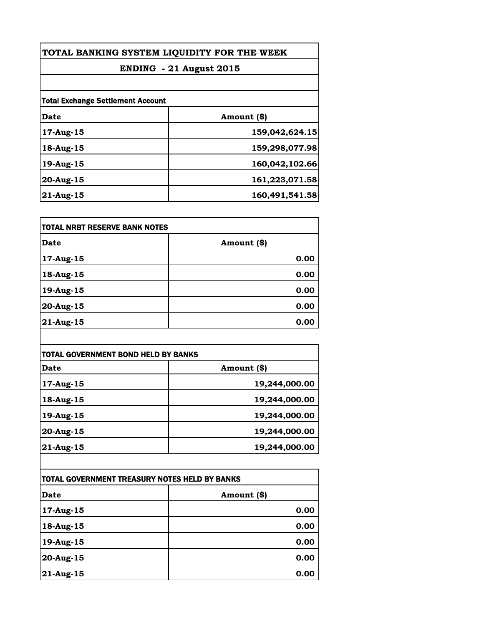| TOTAL BANKING SYSTEM LIQUIDITY FOR THE WEEK<br>ENDING - 21 August 2015 |                |
|------------------------------------------------------------------------|----------------|
|                                                                        |                |
| <b>Total Exchange Settlement Account</b>                               |                |
| Date                                                                   | Amount (\$)    |
| 17-Aug-15                                                              | 159,042,624.15 |
| 18-Aug-15                                                              | 159,298,077.98 |
| 19-Aug-15                                                              | 160,042,102.66 |
| 20-Aug-15                                                              | 161,223,071.58 |
| 21-Aug-15                                                              | 160,491,541.58 |

| <b>TOTAL NRBT RESERVE BANK NOTES</b> |             |
|--------------------------------------|-------------|
| Date                                 | Amount (\$) |
| 17-Aug-15                            | 0.00        |
| 18-Aug-15                            | 0.00        |
| 19-Aug-15                            | 0.00        |
| 20-Aug-15                            | 0.00        |
| 21-Aug-15                            | 0.00        |

| <b>TOTAL GOVERNMENT BOND HELD BY BANKS</b> |               |
|--------------------------------------------|---------------|
| Date                                       | Amount (\$)   |
| 17-Aug-15                                  | 19,244,000.00 |
| 18-Aug-15                                  | 19,244,000.00 |
| 19-Aug-15                                  | 19,244,000.00 |
| 20-Aug-15                                  | 19,244,000.00 |
| 21-Aug-15                                  | 19,244,000.00 |

| TOTAL GOVERNMENT TREASURY NOTES HELD BY BANKS |             |
|-----------------------------------------------|-------------|
| Date                                          | Amount (\$) |
| 17-Aug-15                                     | 0.00        |
| 18-Aug-15                                     | 0.00        |
| 19-Aug-15                                     | 0.00        |
| 20-Aug-15                                     | 0.00        |
| 21-Aug-15                                     | 0.00        |